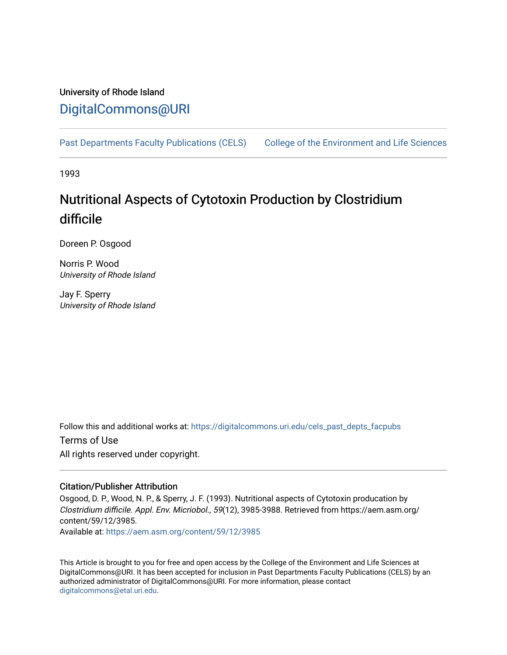## University of Rhode Island [DigitalCommons@URI](https://digitalcommons.uri.edu/)

[Past Departments Faculty Publications \(CELS\)](https://digitalcommons.uri.edu/cels_past_depts_facpubs) College of the Environment and Life Sciences

1993

# Nutritional Aspects of Cytotoxin Production by Clostridium difficile

Doreen P. Osgood

Norris P. Wood University of Rhode Island

Jay F. Sperry University of Rhode Island

Follow this and additional works at: [https://digitalcommons.uri.edu/cels\\_past\\_depts\\_facpubs](https://digitalcommons.uri.edu/cels_past_depts_facpubs?utm_source=digitalcommons.uri.edu%2Fcels_past_depts_facpubs%2F27&utm_medium=PDF&utm_campaign=PDFCoverPages) 

Terms of Use All rights reserved under copyright.

### Citation/Publisher Attribution

Osgood, D. P., Wood, N. P., & Sperry, J. F. (1993). Nutritional aspects of Cytotoxin producation by Clostridium difficile. Appl. Env. Micriobol., 59(12), 3985-3988. Retrieved from https://aem.asm.org/ content/59/12/3985.

Available at:<https://aem.asm.org/content/59/12/3985>

This Article is brought to you for free and open access by the College of the Environment and Life Sciences at DigitalCommons@URI. It has been accepted for inclusion in Past Departments Faculty Publications (CELS) by an authorized administrator of DigitalCommons@URI. For more information, please contact [digitalcommons@etal.uri.edu](mailto:digitalcommons@etal.uri.edu).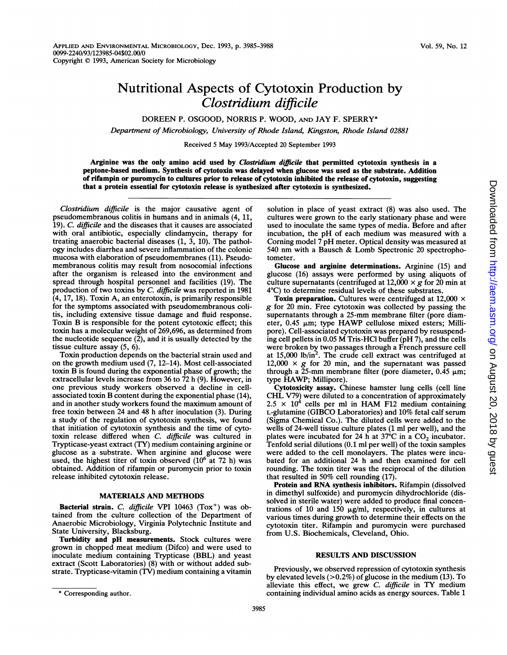## Nutritional Aspects of Cytotoxin Production by Clostridium difficile

DOREEN P. OSGOOD, NORRIS P. WOOD, AND JAY F. SPERRY\*

Department of Microbiology, University of Rhode Island, Kingston, Rhode Island 02881

Received <sup>5</sup> May 1993/Accepted 20 September 1993

Arginine was the only amino acid used by Clostridium difficile that permitted cytotoxin synthesis in a peptone-based medium. Synthesis of cytotoxin was delayed when glucose was used as the substrate. Addition of rifampin or puromycin to cultures prior to release of cytotoxin inhibited the release of cytotoxin, suggesting that a protein essential for cytotoxin release is synthesized after cytotoxin is synthesized.

Clostridium difficile is the major causative agent of pseudomembranous colitis in humans and in animals (4, 11, 19). C. difficile and the diseases that it causes are associated with oral antibiotic, especially clindamycin, therapy for treating anaerobic bacterial diseases (1, 3, 10). The pathology includes diarrhea and severe inflammation of the colonic mucosa with elaboration of pseudomembranes (11). Pseudomembranous colitis may result from nosocomial infections after the organism is released into the environment and spread through hospital personnel and facilities (19). The production of two toxins by C. difficile was reported in 1981 (4, 17, 18). Toxin A, an enterotoxin, is primarily responsible for the symptoms associated with pseudomembranous colitis, including extensive tissue damage and fluid response. Toxin B is responsible for the potent cytotoxic effect; this toxin has a molecular weight of 269,696, as determined from the nucleotide sequence  $(2)$ , and it is usually detected by the tissue culture assay (5, 6).

Toxin production depends on the bacterial strain used and on the growth medium used (7, 12-14). Most cell-associated toxin B is found during the exponential phase of growth; the extracellular levels increase from 36 to 72 h (9). However, in one previous study workers observed a decline in cellassociated toxin B content during the exponential phase (14), and in another study workers found the maximum amount of free toxin between 24 and 48 h after inoculation (3). During a study of the regulation of cytotoxin synthesis, we found that initiation of cytotoxin synthesis and the time of cytotoxin release differed when C. difficile was cultured in Trypticase-yeast extract (TY) medium containing arginine or glucose as <sup>a</sup> substrate. When arginine and glucose were used, the highest titer of toxin observed  $(10^6$  at 72 h) was obtained. Addition of rifampin or puromycin prior to toxin release inhibited cytotoxin release.

#### MATERIALS AND METHODS

Bacterial strain. C. difficile VPI 10463  $(Tox^+)$  was obtained from the culture collection of the Department of Anaerobic Microbiology, Virginia Polytechnic Institute and State University, Blacksburg.

Turbidity and pH measurements. Stock cultures were grown in chopped meat medium (Difco) and were used to inoculate medium containing Trypticase (BBL) and yeast extract (Scott Laboratories) (8) with or without added substrate. Trypticase-vitamin (TV) medium containing a vitamin

solution in place of yeast extract (8) was also used. The cultures were grown to the early stationary phase and were used to inoculate the same types of media. Before and after incubation, the pH of each medium was measured with <sup>a</sup> Coming model <sup>7</sup> pH meter. Optical density was measured at <sup>540</sup> nm with <sup>a</sup> Bausch & Lomb Spectronic <sup>20</sup> spectrophotometer.

Glucose and arginine determinations. Arginine (15) and glucose (16) assays were performed by using aliquots of culture supernatants (centrifuged at  $12,000 \times g$  for 20 min at 4°C) to determine residual levels of these substrates.

Toxin preparation. Cultures were centrifuged at  $12,000 \times$ g for <sup>20</sup> min. Free cytotoxin was collected by passing the supernatants through a 25-mm membrane filter (pore diameter, 0.45 µm; type HAWP cellulose mixed esters; Millipore). Cell-associated cytotoxin was prepared by resuspending cell pellets in 0.05 M Tris-HCl buffer (pH 7), and the cells were broken by two passages through a French pressure cell at  $15,000$  lb/in<sup>2</sup>. The crude cell extract was centrifuged at 12,000  $\times$  g for 20 min, and the supernatant was passed through a 25-mm membrane filter (pore diameter,  $0.\overline{45}$   $\mu$ m; type HAWP; Millipore).

Cytotoxicity assay. Chinese hamster lung cells (cell line CHL V79) were diluted to <sup>a</sup> concentration of approximately  $2.5 \times 10^4$  cells per ml in HAM F12 medium containing L-glutamine (GIBCO Laboratories) and 10% fetal calf serum (Sigma Chemical Co.). The diluted cells were added to the wells of 24-well tissue culture plates (1 ml per well), and the plates were incubated for 24 h at 37 $\degree$ C in a CO<sub>2</sub> incubator. Tenfold serial dilutions (0.1 ml per well) of the toxin samples were added to the cell monolayers. The plates were incubated for an additional 24 h and then examined for cell rounding. The toxin titer was the reciprocal of the dilution that resulted in 50% cell rounding (17).

Protein and RNA synthesis inhibitors. Rifampin (dissolved in dimethyl sulfoxide) and puromycin dihydrochloride (dissolved in sterile water) were added to produce final concentrations of 10 and 150  $\mu$ g/ml, respectively, in cultures at various times during growth to determine their effects on the cytotoxin titer. Rifampin and puromycin were purchased from U.S. Biochemicals, Cleveland, Ohio.

#### RESULTS AND DISCUSSION

Previously, we observed repression of cytotoxin synthesis by elevated levels (>0.2%) of glucose in the medium (13). To alleviate this effect, we grew  $C$ . difficile in  $TY$  medium containing individual amino acids as energy sources. Table <sup>1</sup>

<sup>\*</sup> Corresponding author.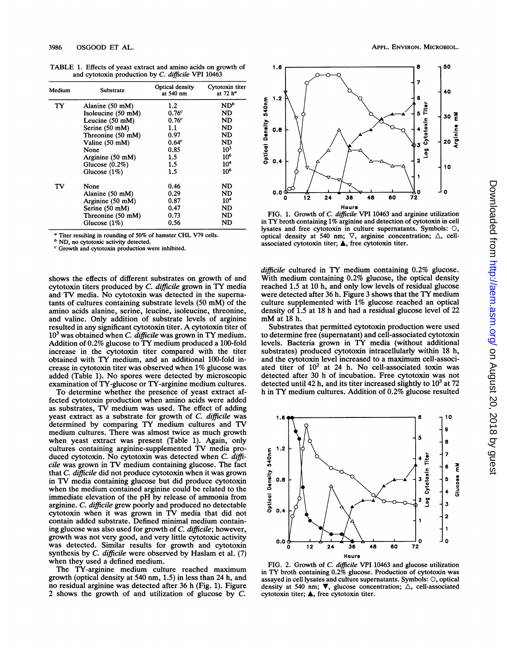TABLE 1. Effects of yeast extract and amino acids on growth of and cytotoxin production by C. difficile VPI 10463

| Medium | Substrate                  | Optical density<br>at 540 nm | Cytotoxin titer<br>at 72 h <sup>a</sup> |
|--------|----------------------------|------------------------------|-----------------------------------------|
| TY     | Alanine $(50 \text{ mM})$  | $1.2\,$                      | $ND^b$                                  |
|        | Isoleucine (50 mM)         | 0.76 <sup>c</sup>            | ND                                      |
|        | Leucine $(50 \text{ mM})$  | 0.76 <sup>c</sup>            | ND                                      |
|        | Serine (50 mM)             | 1.1                          | ND                                      |
|        | Threonine (50 mM)          | 0.97                         | <b>ND</b>                               |
|        | Valine (50 mM)             | 0.64 <sup>c</sup>            | ND                                      |
|        | None                       | 0.85                         | 10 <sup>3</sup>                         |
|        | Arginine $(50 \text{ mM})$ | 1.5                          | 10 <sup>6</sup>                         |
|        | Glucose $(0.2\%)$          | 1.5                          | 10 <sup>4</sup>                         |
|        | Glucose $(1%)$             | 1.5                          | 10 <sup>6</sup>                         |
| TV     | None                       | 0.46                         | ND                                      |
|        | Alanine (50 mM)            | 0.29                         | ND                                      |
|        | Arginine $(50 \text{ mM})$ | 0.87                         | 10 <sup>4</sup>                         |
|        | Serine (50 mM)             | 0.47                         | ND                                      |
|        | Threonine (50 mM)          | 0.73                         | ND                                      |
|        | Glucose $(1%)$             | 0.56                         | ND                                      |

Titer resulting in rounding of 50% of hamster CHL V79 cells.

 $<sup>b</sup>$  ND, no cytotoxic activity detected.</sup>

 $c$  Growth and cytotoxin production were inhibited.

shows the effects of different substrates on growth of and cytotoxin titers produced by C. difficile grown in TY media and TV media. No cytotoxin was detected in the supernatants of cultures containing substrate levels (50 mM) of the amino acids alanine, serine, leucine, isoleucine, threonine, and valine. Only addition of substrate levels of arginine resulted in any significant cytotoxin titer. A cytotoxin titer of  $10<sup>3</sup>$  was obtained when *C. difficile* was grown in TY medium. Addition of 0.2% glucose to TY medium produced <sup>a</sup> 100-fold increase in the cytotoxin titer compared with the titer obtained with TY medium, and an additional 100-fold increase in cytotoxin titer was observed when 1% glucose was added (Table 1). No spores were detected by microscopic examination of TY-glucose or TY-arginine medium cultures.

To determine whether the presence of yeast extract affected cytotoxin production when amino acids were added as substrates, TV medium was used. The effect of adding yeast extract as a substrate for growth of C. difficile was determined by comparing TY medium cultures and TV medium cultures. There was almost twice as much growth when yeast extract was present (Table 1). Again, only cultures containing arginine-supplemented TV media produced cytotoxin. No cytotoxin was detected when C. difficile was grown in TV medium containing glucose. The fact that C. difficile did not produce cytotoxin when it was grown in TV media containing glucose but did produce cytotoxin when the medium contained arginine could be related to the immediate elevation of the pH by release of ammonia from arginine. C. difficile grew poorly and produced no detectable cytotoxin when it was grown in TV media that did not contain added substrate. Defined minimal medium containing glucose was also used for growth of C. difficile; however, growth was not very good, and very little cytotoxic activity was detected. Similar results for growth and cytotoxin synthesis by C. difficile were observed by Haslam et al. (7) when they used a defined medium.

The TY-arginine medium culture reached maximum growth (optical density at 540 nm, 1.5) in less than 24 h, and no residual arginine was detected after 36 h (Fig. 1). Figure 2 shows the growth of and utilization of glucose by C.





FIG. 1. Growth of C. difficile VPI 10463 and arginine utilization in TY broth containing 1% arginine and detection of cytotoxin in cell lysates and free cytotoxin in culture supernatants. Symbols: 0, optical density at 540 nm;  $\nabla$ , arginine concentration;  $\Delta$ , cellassociated cytotoxin titer;  $\triangle$ , free cytotoxin titer.

difficile cultured in TY medium containing 0.2% glucose. With medium containing 0.2% glucose, the optical density reached 1.5 at 10 h, and only low levels of residual glucose were detected after <sup>36</sup> h. Figure <sup>3</sup> shows that the TY medium culture supplemented with 1% glucose reached an optical density of 1.5 at 18 h and had a residual glucose level of 22 mM at <sup>18</sup> h.

Substrates that permitted cytotoxin production were used to determine free (supernatant) and cell-associated cytotoxin levels. Bacteria grown in TY media (without additional substrates) produced cytotoxin intracellularly within 18 h, and the cytotoxin level increased to a maximum cell-associated titer of  $10^2$  at 24 h. No cell-associated toxin was detected after 30 h of incubation. Free cytotoxin was not detected until 42 h, and its titer increased slightly to  $10<sup>3</sup>$  at 72 h in TY medium cultures. Addition of 0.2% glucose resulted



FIG. 2. Growth of C. difficile VPI 10463 and glucose utilization in TY broth containing 0.2% glucose. Production of cytotoxin was assayed in cell lysates and culture supernatants. Symbols: 0, optical density at 540 nm;  $\nabla$ , glucose concentration;  $\Delta$ , cell-associated cytotoxin titer; A, free cytotoxin titer.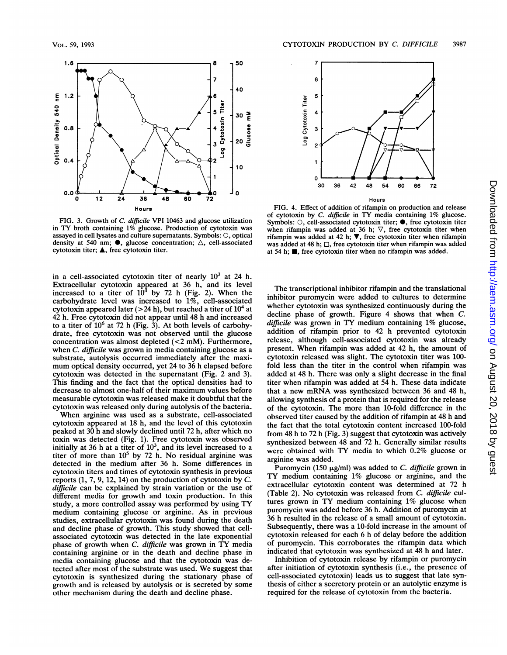

FIG. 3. Growth of C. difficile VPI 10463 and glucose utilization in TY broth containing 1% glucose. Production of cytotoxin was assayed in cell lysates and culture supernatants. Symbols: 0, optical density at 540 nm;  $\bullet$ , glucose concentration;  $\triangle$ , cell-associated cytotoxin titer; A, free cytotoxin titer.

in a cell-associated cytotoxin titer of nearly  $10^3$  at 24 h. Extracellular cytotoxin appeared at 36 h, and its level increased to a titer of  $10^4$  by 72 h (Fig. 2). When the carbohydrate level was increased to 1%, cell-associated cytotoxin appeared later ( $>$ 24 h), but reached a titer of  $10<sup>4</sup>$  at 42 h. Free cytotoxin did not appear until 48 h and increased to a titer of  $10^6$  at 72 h (Fig. 3). At both levels of carbohydrate, free cytotoxin was not observed until the glucose concentration was almost depleted (<2 mM). Furthermore, when *C. difficile* was grown in media containing glucose as a substrate, autolysis occurred immediately after the maximum optical density occurred, yet <sup>24</sup> to <sup>36</sup> <sup>h</sup> elapsed before cytotoxin was detected in the supernatant (Fig. 2 and 3). This finding and the fact that the optical densities had to decrease to almost one-half of their maximum values before measurable cytotoxin was released make it doubtful that the cytotoxin was released only during autolysis of the bacteria.

When arginine was used as <sup>a</sup> substrate, cell-associated cytotoxin appeared at 18 h, and the level of this cytotoxin peaked at 30 h and slowly declined until 72 h, after which no toxin was detected (Fig. 1). Free cytotoxin was observed initially at 36 h at a titer of  $10<sup>3</sup>$ , and its level increased to a titer of more than  $10^5$  by 72 h. No residual arginine was detected in the medium after 36 h. Some differences in cytotoxin titers and times of cytotoxin synthesis in previous reports (1, 7, 9, 12, 14) on the production of cytotoxin by C. difficile can be explained by strain variation or the use of different media for growth and toxin production. In this study, <sup>a</sup> more controlled assay was performed by using TY medium containing glucose or arginine. As in previous studies, extracellular cytotoxin was found during the death and decline phase of growth. This study showed that cellassociated cytotoxin was detected in the late exponential phase of growth when C. difficile was grown in TY media containing arginine or in the death and decline phase in media containing glucose and that the cytotoxin was detected after most of the substrate was used. We suggest that cytotoxin is synthesized during the stationary phase of growth and is released by autolysis or is secreted by some other mechanism during the death and decline phase.



Hours

FIG. 4. Effect of addition of rifampin on production and release of cytotoxin by C. difficile in TY media containing 1% glucose. Symbols:  $\bigcirc$ , cell-associated cytotoxin titer;  $\bullet$ , free cytotoxin titer when rifampin was added at 36 h;  $\nabla$ , free cytotoxin titer when rifampin was added at 42 h;  $\nabla$ , free cytotoxin titer when rifampin was added at 48 h;  $\square$ , free cytotoxin titer when rifampin was added at 54 h;  $\blacksquare$ , free cytotoxin titer when no rifampin was added.

The transcriptional inhibitor rifampin and the translational inhibitor puromycin were added to cultures to determine whether cytotoxin was synthesized continuously during the decline phase of growth. Figure 4 shows that when C. difficile was grown in TY medium containing 1% glucose, addition of rifampin prior to 42 h prevented cytotoxin release, although cell-associated cytotoxin was already present. When rifampin was added at 42 h, the amount of cytotoxin released was slight. The cytotoxin titer was 100 fold less than the titer in the control when rifampin was added at 48 h. There was only a slight decrease in the final titer when rifampin was added at 54 h. These data indicate that <sup>a</sup> new mRNA was synthesized between <sup>36</sup> and <sup>48</sup> h, allowing synthesis of a protein that is required for the release of the cytotoxin. The more than 10-fold difference in the observed titer caused by the addition of rifampin at 48 h and the fact that the total cytotoxin content increased 100-fold from 48 h to 72 h (Fig. 3) suggest that cytotoxin was actively synthesized between 48 and 72 h. Generally similar results were obtained with TY media to which 0.2% glucose or arginine was added.

Puromycin (150  $\mu$ g/ml) was added to C. difficile grown in TY medium containing 1% glucose or arginine, and the extracellular cytotoxin content was determined at 72 h (Table 2). No cytotoxin was released from C. difficile cultures grown in TY medium containing 1% glucose when puromycin was added before 36 h. Addition of puromycin at 36 h resulted in the release of a small amount of cytotoxin. Subsequently, there was a 10-fold increase in the amount of cytotoxin released for each 6 h of delay before the addition of puromycin. This corroborates the rifampin data which indicated that cytotoxin was synthesized at 48 h and later.

Inhibition of cytotoxin release by rifampin or puromycin after initiation of cytotoxin synthesis (i.e., the presence of cell-associated cytotoxin) leads us to suggest that late synthesis of either a secretory protein or an autolytic enzyme is required for the release of cytotoxin from the bacteria.